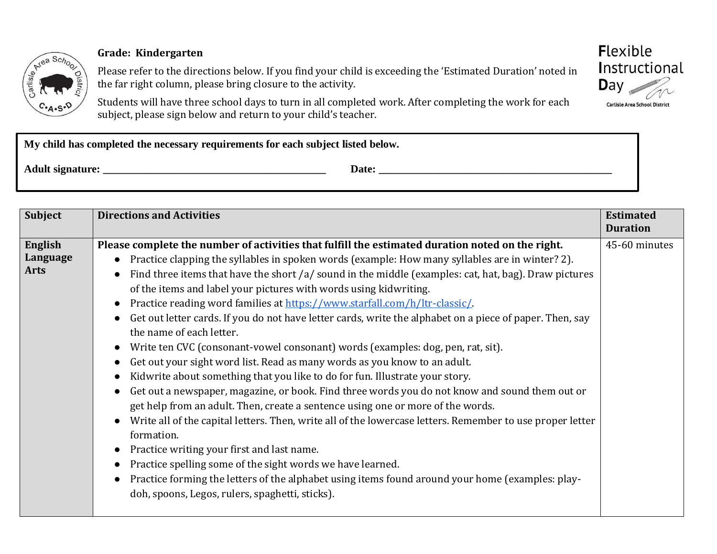

## **Grade: Kindergarten**

Please refer to the directions below. If you find your child is exceeding the 'Estimated Duration' noted in the far right column, please bring closure to the activity.

Students will have three school days to turn in all completed work. After completing the work for each subject, please sign below and return to your child's teacher.

| My child has completed the necessary requirements for each subject listed below. |       |  |
|----------------------------------------------------------------------------------|-------|--|
| <b>Adult signature:</b>                                                          | Date: |  |

| <b>Subject</b>                            | <b>Directions and Activities</b>                                                                                                                                                                                                                                                                                                                                                                                                                                                                                                                                                                                                                                                                                                                                                                                                                                                                                                                                                                                                                                                                                                                                                                                                                                           | <b>Estimated</b><br><b>Duration</b> |
|-------------------------------------------|----------------------------------------------------------------------------------------------------------------------------------------------------------------------------------------------------------------------------------------------------------------------------------------------------------------------------------------------------------------------------------------------------------------------------------------------------------------------------------------------------------------------------------------------------------------------------------------------------------------------------------------------------------------------------------------------------------------------------------------------------------------------------------------------------------------------------------------------------------------------------------------------------------------------------------------------------------------------------------------------------------------------------------------------------------------------------------------------------------------------------------------------------------------------------------------------------------------------------------------------------------------------------|-------------------------------------|
| <b>English</b><br>Language<br><b>Arts</b> | Please complete the number of activities that fulfill the estimated duration noted on the right.<br>Practice clapping the syllables in spoken words (example: How many syllables are in winter? 2).                                                                                                                                                                                                                                                                                                                                                                                                                                                                                                                                                                                                                                                                                                                                                                                                                                                                                                                                                                                                                                                                        | 45-60 minutes                       |
|                                           | Find three items that have the short /a/ sound in the middle (examples: cat, hat, bag). Draw pictures<br>of the items and label your pictures with words using kidwriting.<br>Practice reading word families at https://www.starfall.com/h/ltr-classic/.<br>$\bullet$<br>Get out letter cards. If you do not have letter cards, write the alphabet on a piece of paper. Then, say<br>the name of each letter.<br>Write ten CVC (consonant-vowel consonant) words (examples: dog, pen, rat, sit).<br>Get out your sight word list. Read as many words as you know to an adult.<br>Kidwrite about something that you like to do for fun. Illustrate your story.<br>Get out a newspaper, magazine, or book. Find three words you do not know and sound them out or<br>get help from an adult. Then, create a sentence using one or more of the words.<br>Write all of the capital letters. Then, write all of the lowercase letters. Remember to use proper letter<br>$\bullet$<br>formation.<br>Practice writing your first and last name.<br>$\bullet$<br>Practice spelling some of the sight words we have learned.<br>Practice forming the letters of the alphabet using items found around your home (examples: play-<br>doh, spoons, Legos, rulers, spaghetti, sticks). |                                     |